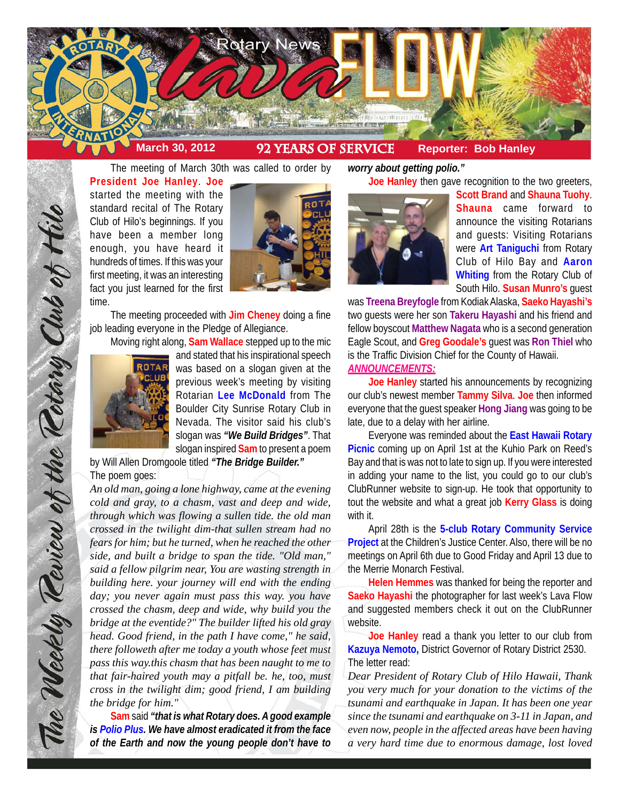

The meeting of March 30th was called to order by **President Joe Hanley**. **Joe** started the meeting with the standard recital of The Rotary Club of Hilo's beginnings. If you have been a member long enough, you have heard it hundreds of times. If this was your first meeting, it was an interesting fact you just learned for the first time.



The meeting proceeded with **Jim Cheney** doing a fine job leading everyone in the Pledge of Allegiance.

Moving right along, **Sam Wallace** stepped up to the mic



and stated that his inspirational speech was based on a slogan given at the previous week's meeting by visiting Rotarian **Lee McDonald** from The Boulder City Sunrise Rotary Club in Nevada. The visitor said his club's slogan was *"We Build Bridges"*. That slogan inspired **Sam** to present a poem

by Will Allen Dromgoole titled *"The Bridge Builder."* The poem goes:

*An old man, going a lone highway, came at the evening cold and gray, to a chasm, vast and deep and wide, through which was flowing a sullen tide. the old man crossed in the twilight dim-that sullen stream had no fears for him; but he turned, when he reached the other side, and built a bridge to span the tide. "Old man," said a fellow pilgrim near, You are wasting strength in building here. your journey will end with the ending day; you never again must pass this way. you have crossed the chasm, deep and wide, why build you the bridge at the eventide?" The builder lifted his old gray head. Good friend, in the path I have come," he said, there followeth after me today a youth whose feet must pass this way.this chasm that has been naught to me to that fair-haired youth may a pitfall be. he, too, must cross in the twilight dim; good friend, I am building the bridge for him."*

**Sam** said *"that is what Rotary does. A good example is Polio Plus. We have almost eradicated it from the face of the Earth and now the young people don't have to*

*worry about getting polio."* **Joe Hanley** then gave recognition to the two greeters,



**Scott Brand** and **Shauna Tuohy**. **Shauna** came forward to announce the visiting Rotarians and guests: Visiting Rotarians were **Art Taniguchi** from Rotary Club of Hilo Bay and **Aaron Whiting** from the Rotary Club of South Hilo. **Susan Munro's** guest

was **Treena Breyfogle** from Kodiak Alaska, **Saeko Hayashi's** two guests were her son **Takeru Hayashi** and his friend and fellow boyscout **Matthew Nagata** who is a second generation Eagle Scout, and **Greg Goodale's** guest was **Ron Thiel** who is the Traffic Division Chief for the County of Hawaii. *ANNOUNCEMENTS:*

**Joe Hanley** started his announcements by recognizing our club's newest member **Tammy Silva**. **Joe** then informed everyone that the guest speaker **Hong Jiang** was going to be late, due to a delay with her airline.

Everyone was reminded about the **East Hawaii Rotary Picnic** coming up on April 1st at the Kuhio Park on Reed's Bay and that is was not to late to sign up. If you were interested in adding your name to the list, you could go to our club's ClubRunner website to sign-up. He took that opportunity to tout the website and what a great job **Kerry Glass** is doing with it.

April 28th is the **5-club Rotary Community Service Project** at the Children's Justice Center. Also, there will be no meetings on April 6th due to Good Friday and April 13 due to the Merrie Monarch Festival.

**Helen Hemmes** was thanked for being the reporter and **Saeko Hayashi** the photographer for last week's Lava Flow and suggested members check it out on the ClubRunner website.

**Joe Hanley** read a thank you letter to our club from **Kazuya Nemoto,** District Governor of Rotary District 2530. The letter read:

*Dear President of Rotary Club of Hilo Hawaii, Thank you very much for your donation to the victims of the tsunami and earthquake in Japan. It has been one year since the tsunami and earthquake on 3-11 in Japan, and even now, people in the affected areas have been having a very hard time due to enormous damage, lost loved*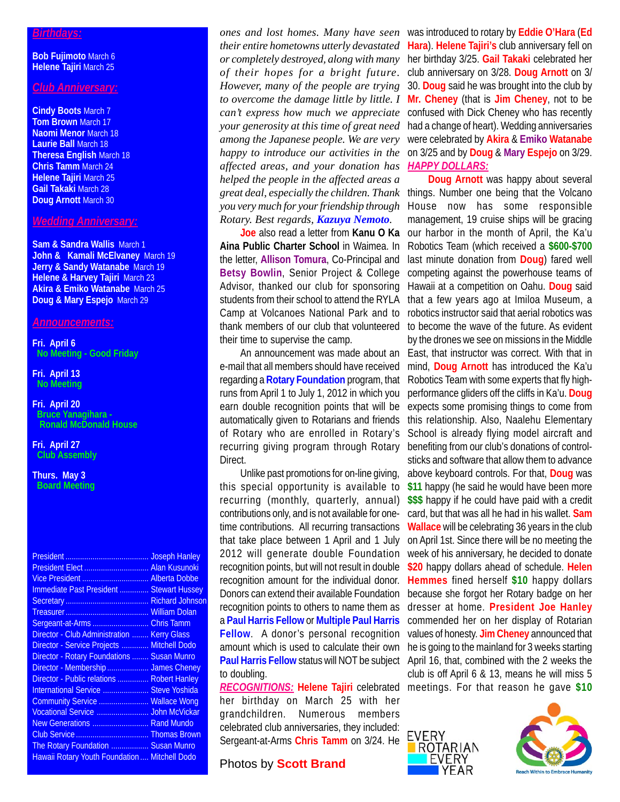#### *Birthdays:*

**Bob Fujimoto** March 6 **Helene Tajiri** March 25

## *Club Anniversary:*

**Cindy Boots** March 7 **Tom Brown** March 17 **Naomi Menor** March 18 **Laurie Ball** March 18 **Theresa English** March 18 **Chris Tamm** March 24 **Helene Tajiri** March 25 **Gail Takaki** March 28 **Doug Arnott** March 30

## *Wedding Anniversary:*

**Sam & Sandra Wallis** March 1 **John & Kamali McElvaney** March 19 **Jerry & Sandy Watanabe March 19 Helene & Harvey Tajiri** March 23 **Akira & Emiko Watanabe** March 25 **Doug & Mary Espejo** March 29

## *Announcements:*

**Fri. April 6 No Meeting - Good Friday**

#### **Fri. April 13 No Meeting**

**Fri. April 20 Bruce Yanagihara - Ronald McDonald House**

**Fri. April 27 Club Assembly**

**Thurs. May 3 Board Meeting**

| <b>President</b>                              | <b>Joseph Hanley</b> |
|-----------------------------------------------|----------------------|
| President Elect  Alan Kusunoki                |                      |
|                                               |                      |
| Immediate Past President  Stewart Hussey      |                      |
|                                               |                      |
|                                               | <b>William Dolan</b> |
| Sergeant-at-Arms                              | <b>Chris Tamm</b>    |
| Director - Club Administration                | <b>Kerry Glass</b>   |
| <b>Director - Service Projects</b>            | Mitchell Dodo        |
| Director - Rotary Foundations  Susan Munro    |                      |
| Director - Membership  James Cheney           |                      |
| Director - Public relations  Robert Hanley    |                      |
| International Service  Steve Yoshida          |                      |
| Community Service                             | <b>Wallace Wong</b>  |
| Vocational Service                            | <b>John McVickar</b> |
| New Generations  Rand Mundo                   |                      |
|                                               |                      |
| The Rotary Foundation  Susan Munro            |                      |
| Hawaii Rotary Youth Foundation  Mitchell Dodo |                      |

*of their hopes for a bright future. However, many of the people are trying to overcome the damage little by little. I can't express how much we appreciate among the Japanese people. We are very affected areas, and your donation has helped the people in the affected areas a Rotary. Best regards, Kazuya Nemoto.*

**Aina Public Charter School** in Waimea. In the letter, **Allison Tomura**, Co-Principal and **Betsy Bowlin**, Senior Project & College Advisor, thanked our club for sponsoring students from their school to attend the RYLA Camp at Volcanoes National Park and to their time to supervise the camp.

An announcement was made about an e-mail that all members should have received regarding a **Rotary Foundation** program, that runs from April 1 to July 1, 2012 in which you earn double recognition points that will be automatically given to Rotarians and friends of Rotary who are enrolled in Rotary's recurring giving program through Rotary Direct.

Unlike past promotions for on-line giving, this special opportunity is available to recurring (monthly, quarterly, annual) contributions only, and is not available for onetime contributions. All recurring transactions that take place between 1 April and 1 July 2012 will generate double Foundation recognition points, but will not result in double recognition amount for the individual donor. Donors can extend their available Foundation recognition points to others to name them as a **Paul Harris Fellow** or **Multiple Paul Harris Fellow**. A donor's personal recognition amount which is used to calculate their own to doubling.

her birthday on March 25 with her grandchildren. Numerous members celebrated club anniversaries, they included: Sergeant-at-Arms **Chris Tamm** on 3/24. He

# Photos by **Scott Brand**

*ones and lost homes. Many have seen* was introduced to rotary by **Eddie O'Hara** (**Ed** *their entire hometowns utterly devastated* **Hara**). **Helene Tajiri's** club anniversary fell on *or completely destroyed, along with many* her birthday 3/25. **Gail Takaki** celebrated her *your generosity at this time of great need* had a change of heart). Wedding anniversaries *happy to introduce our activities in the* on 3/25 and by **Doug** & **Mary Espejo** on 3/29. club anniversary on 3/28. **Doug Arnott** on 3/ 30. **Doug** said he was brought into the club by **Mr. Cheney** (that is **Jim Cheney**, not to be confused with Dick Cheney who has recently were celebrated by **Akira** & **Emiko Watanabe** *HAPPY DOLLARS:*

*great deal, especially the children. Thank* things. Number one being that the Volcano *you very much for your friendship through* House now has some responsible **Joe** also read a letter from **Kanu O Ka** our harbor in the month of April, the Ka'u thank members of our club that volunteered to become the wave of the future. As evident Paul Harris Fellow status will NOT be subject April 16, that, combined with the 2 weeks the *RECOGNITIONS:* **Helene Tajiri** celebrated meetings. For that reason he gave **\$10Doug Arnott** was happy about several management, 19 cruise ships will be gracing Robotics Team (which received a **\$600-\$700** last minute donation from **Doug**) fared well competing against the powerhouse teams of Hawaii at a competition on Oahu. **Doug** said that a few years ago at Imiloa Museum, a robotics instructor said that aerial robotics was by the drones we see on missions in the Middle East, that instructor was correct. With that in mind, **Doug Arnott** has introduced the Ka'u Robotics Team with some experts that fly highperformance gliders off the cliffs in Ka'u. **Doug** expects some promising things to come from this relationship. Also, Naalehu Elementary School is already flying model aircraft and benefiting from our club's donations of controlsticks and software that allow them to advance above keyboard controls. For that, **Doug** was **\$11** happy (he said he would have been more **\$\$\$** happy if he could have paid with a credit card, but that was all he had in his wallet. **Sam Wallace** will be celebrating 36 years in the club on April 1st. Since there will be no meeting the week of his anniversary, he decided to donate **\$20** happy dollars ahead of schedule. **Helen Hemmes** fined herself **\$10** happy dollars because she forgot her Rotary badge on her dresser at home. **President Joe Hanley** commended her on her display of Rotarian values of honesty. **Jim Cheney** announced that he is going to the mainland for 3 weeks starting club is off April 6 & 13, means he will miss 5